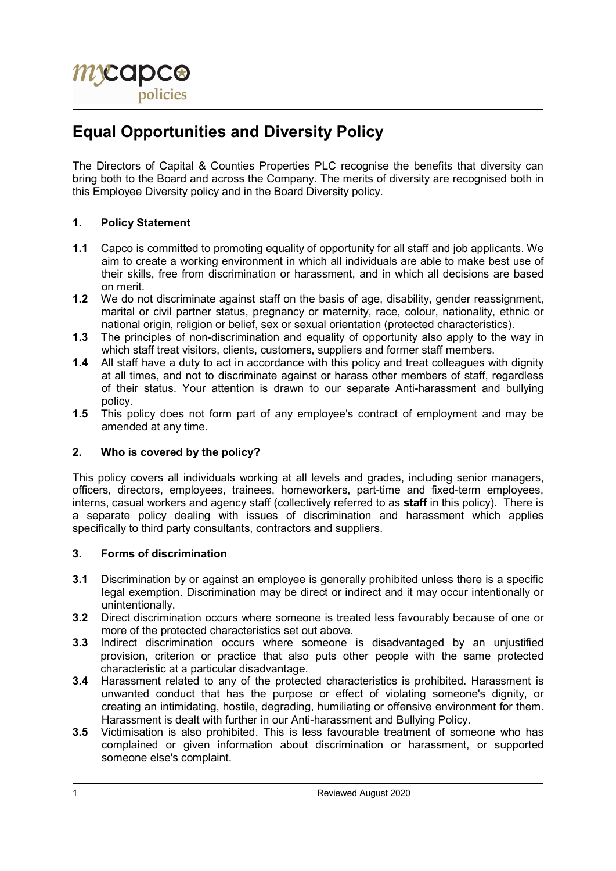# Equal Opportunities and Diversity Policy

The Directors of Capital & Counties Properties PLC recognise the benefits that diversity can bring both to the Board and across the Company. The merits of diversity are recognised both in this Employee Diversity policy and in the Board Diversity policy.

## 1. Policy Statement

- 1.1 Capco is committed to promoting equality of opportunity for all staff and job applicants. We aim to create a working environment in which all individuals are able to make best use of their skills, free from discrimination or harassment, and in which all decisions are based on merit.
- 1.2 We do not discriminate against staff on the basis of age, disability, gender reassignment, marital or civil partner status, pregnancy or maternity, race, colour, nationality, ethnic or national origin, religion or belief, sex or sexual orientation (protected characteristics).
- 1.3 The principles of non-discrimination and equality of opportunity also apply to the way in which staff treat visitors, clients, customers, suppliers and former staff members.
- 1.4 All staff have a duty to act in accordance with this policy and treat colleagues with dignity at all times, and not to discriminate against or harass other members of staff, regardless of their status. Your attention is drawn to our separate Anti-harassment and bullying policy.
- 1.5 This policy does not form part of any employee's contract of employment and may be amended at any time.

# 2. Who is covered by the policy?

This policy covers all individuals working at all levels and grades, including senior managers, officers, directors, employees, trainees, homeworkers, part-time and fixed-term employees, interns, casual workers and agency staff (collectively referred to as staff in this policy). There is a separate policy dealing with issues of discrimination and harassment which applies specifically to third party consultants, contractors and suppliers.

## 3. Forms of discrimination

- 3.1 Discrimination by or against an employee is generally prohibited unless there is a specific legal exemption. Discrimination may be direct or indirect and it may occur intentionally or unintentionally.
- 3.2 Direct discrimination occurs where someone is treated less favourably because of one or more of the protected characteristics set out above.
- 3.3 Indirect discrimination occurs where someone is disadvantaged by an unjustified provision, criterion or practice that also puts other people with the same protected characteristic at a particular disadvantage.
- 3.4 Harassment related to any of the protected characteristics is prohibited. Harassment is unwanted conduct that has the purpose or effect of violating someone's dignity, or creating an intimidating, hostile, degrading, humiliating or offensive environment for them. Harassment is dealt with further in our Anti-harassment and Bullying Policy.
- 3.5 Victimisation is also prohibited. This is less favourable treatment of someone who has complained or given information about discrimination or harassment, or supported someone else's complaint.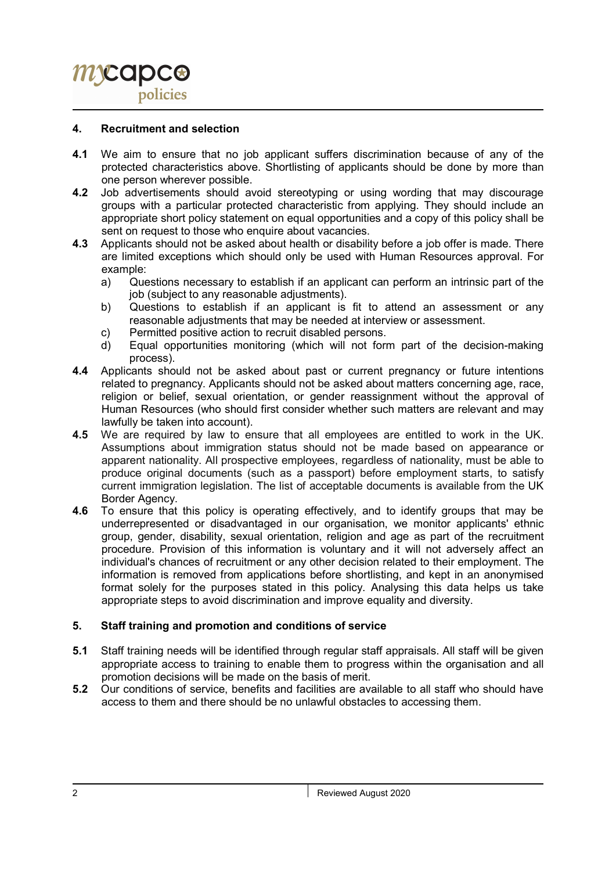#### 4. Recruitment and selection

- 4.1 We aim to ensure that no job applicant suffers discrimination because of any of the protected characteristics above. Shortlisting of applicants should be done by more than one person wherever possible.
- 4.2 Job advertisements should avoid stereotyping or using wording that may discourage groups with a particular protected characteristic from applying. They should include an appropriate short policy statement on equal opportunities and a copy of this policy shall be sent on request to those who enquire about vacancies.
- 4.3 Applicants should not be asked about health or disability before a job offer is made. There are limited exceptions which should only be used with Human Resources approval. For example:
	- a) Questions necessary to establish if an applicant can perform an intrinsic part of the job (subject to any reasonable adjustments).
	- b) Questions to establish if an applicant is fit to attend an assessment or any reasonable adjustments that may be needed at interview or assessment.
	- c) Permitted positive action to recruit disabled persons.
	- d) Equal opportunities monitoring (which will not form part of the decision-making process).
- 4.4 Applicants should not be asked about past or current pregnancy or future intentions related to pregnancy. Applicants should not be asked about matters concerning age, race, religion or belief, sexual orientation, or gender reassignment without the approval of Human Resources (who should first consider whether such matters are relevant and may lawfully be taken into account).
- 4.5 We are required by law to ensure that all employees are entitled to work in the UK. Assumptions about immigration status should not be made based on appearance or apparent nationality. All prospective employees, regardless of nationality, must be able to produce original documents (such as a passport) before employment starts, to satisfy current immigration legislation. The list of acceptable documents is available from the UK Border Agency.
- 4.6 To ensure that this policy is operating effectively, and to identify groups that may be underrepresented or disadvantaged in our organisation, we monitor applicants' ethnic group, gender, disability, sexual orientation, religion and age as part of the recruitment procedure. Provision of this information is voluntary and it will not adversely affect an individual's chances of recruitment or any other decision related to their employment. The information is removed from applications before shortlisting, and kept in an anonymised format solely for the purposes stated in this policy. Analysing this data helps us take appropriate steps to avoid discrimination and improve equality and diversity.

## 5. Staff training and promotion and conditions of service

- 5.1 Staff training needs will be identified through regular staff appraisals. All staff will be given appropriate access to training to enable them to progress within the organisation and all promotion decisions will be made on the basis of merit.
- 5.2 Our conditions of service, benefits and facilities are available to all staff who should have access to them and there should be no unlawful obstacles to accessing them.